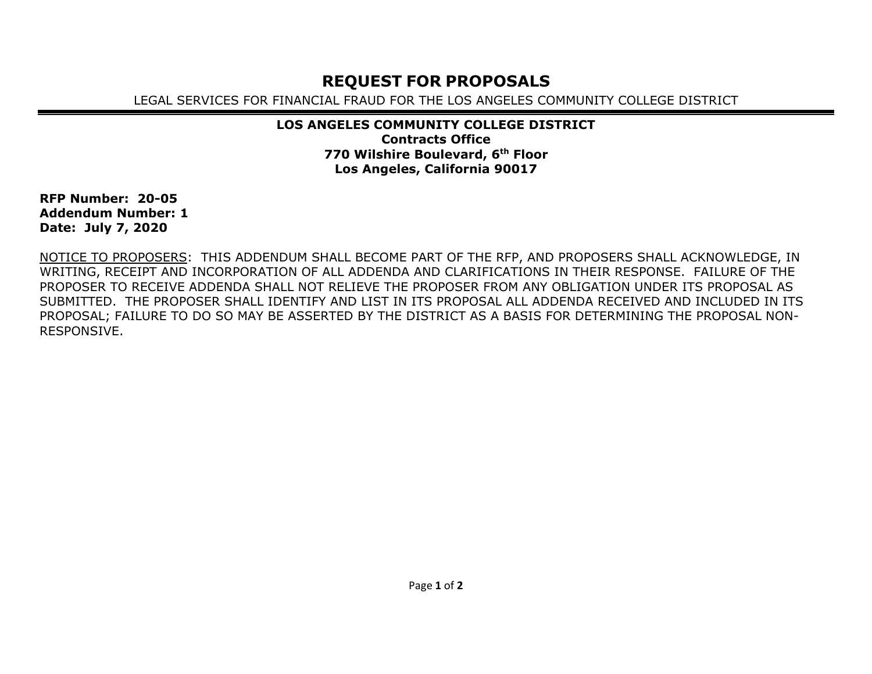## **REQUEST FOR PROPOSALS**

LEGAL SERVICES FOR FINANCIAL FRAUD FOR THE LOS ANGELES COMMUNITY COLLEGE DISTRICT

## **LOS ANGELES COMMUNITY COLLEGE DISTRICT Contracts Office 770 Wilshire Boulevard, 6th Floor Los Angeles, California 90017**

**RFP Number: 20-05 Addendum Number: 1 Date: July 7, 2020**

NOTICE TO PROPOSERS: THIS ADDENDUM SHALL BECOME PART OF THE RFP, AND PROPOSERS SHALL ACKNOWLEDGE, IN WRITING, RECEIPT AND INCORPORATION OF ALL ADDENDA AND CLARIFICATIONS IN THEIR RESPONSE. FAILURE OF THE PROPOSER TO RECEIVE ADDENDA SHALL NOT RELIEVE THE PROPOSER FROM ANY OBLIGATION UNDER ITS PROPOSAL AS SUBMITTED. THE PROPOSER SHALL IDENTIFY AND LIST IN ITS PROPOSAL ALL ADDENDA RECEIVED AND INCLUDED IN ITS PROPOSAL; FAILURE TO DO SO MAY BE ASSERTED BY THE DISTRICT AS A BASIS FOR DETERMINING THE PROPOSAL NON-RESPONSIVE.